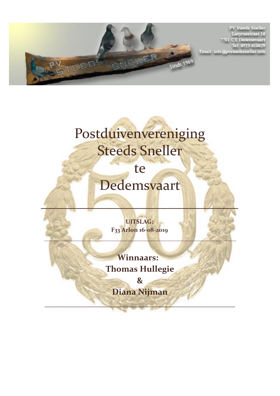

**PV Steeds Sneller** Latyrusstraat 16<br>7701 CX Dedemsvaart Tel: 0523-610629 Email: info@pvsteedssneller.info

## Postduivenvereniging Steeds Sneller

te

## Dedemsvaart

 $\mathcal{L}_\mathcal{F}$  , where  $\mathcal{L}_\mathcal{F}$  , we have the contract of  $\mathcal{L}_\mathcal{F}$ 

**UITSLAG: F33 Arlon 16-08-2019** 

**\_\_\_\_\_\_\_\_\_\_\_\_\_\_\_\_\_\_\_\_\_\_\_\_\_\_\_\_\_\_\_\_\_\_\_\_\_\_\_\_\_\_\_\_\_\_\_\_\_\_\_\_\_\_\_\_\_\_\_\_\_\_\_**

**Winnaars: Thomas Hullegie**

**& Diana Nijman**

**\_\_\_\_\_\_\_\_\_\_\_\_\_\_\_\_\_\_\_\_\_\_\_\_\_\_\_\_\_\_\_\_\_\_\_\_\_\_\_\_\_\_\_\_\_**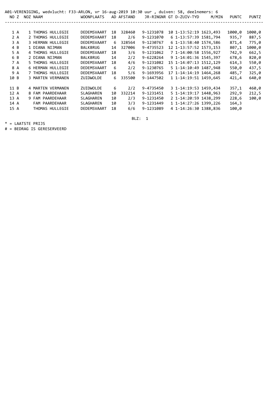|      | A01-VERENIGING, wedvlucht: F33-ARLON, vr 16-aug-2019 10:30 uur , duiven: 58, deelnemers: 6 |  |          |                   |  |                    |    |            |           |  |                         |       |        |              |
|------|--------------------------------------------------------------------------------------------|--|----------|-------------------|--|--------------------|----|------------|-----------|--|-------------------------|-------|--------|--------------|
| NO Z |                                                                                            |  | NOZ NAAM |                   |  | <b>WOONPLAATS</b>  |    | AD AFSTAND |           |  | JR-RINGNR GT D-ZUIV-TYD | M/MIN | PUNTC  | <b>PUNTZ</b> |
|      |                                                                                            |  |          |                   |  |                    |    |            |           |  |                         |       |        |              |
| 1A   |                                                                                            |  |          | 1 THOMAS HULLEGIE |  | DEDEMSVAART        | 18 | 328460     | 9-1231078 |  | 10 1-13:52:19 1623,493  |       | 1000,0 | 1000,0       |
| 2 A  |                                                                                            |  |          | 2 THOMAS HULLEGIE |  | DEDEMSVAART        | 18 | 2/6        | 9-1231070 |  | 6 1-13:57:39 1581,794   |       | 935,7  | 887,5        |
| 3 A  |                                                                                            |  |          | 3 HERMAN HULLEGIE |  | DEDEMSVAART        | 6  | 328564     | 9-1230767 |  | 6 1-13:58:40 1574,586   |       | 871,4  | 775,0        |
| 4 B  |                                                                                            |  |          | 1 DIANA NIJMAN    |  | <b>BALKBRUG</b>    | 14 | 327006     | 9-4735523 |  | 12 1-13:57:52 1573,153  |       | 807,1  | 1000,0       |
| 5 A  |                                                                                            |  |          | 4 THOMAS HULLEGIE |  | <b>DEDEMSVAART</b> | 18 | 3/6        | 9-1231062 |  | 7 1-14:00:58 1556,927   |       | 742,9  | 662,5        |
| 6 B  |                                                                                            |  |          | 2 DIANA NIJMAN    |  | <b>BALKBRUG</b>    | 14 | 2/2        | 9-6228264 |  | 9 1-14:01:36 1545,397   |       | 678,6  | 820,0        |
| 7 A  |                                                                                            |  |          | 5 THOMAS HULLEGIE |  | DEDEMSVAART        | 18 | 4/6        | 9-1231082 |  | 15 1-14:07:13 1512,129  |       | 614,3  | 550,0        |
| 8 A  |                                                                                            |  |          | 6 HERMAN HULLEGIE |  | DEDEMSVAART        | 6  | 2/2        | 9-1230765 |  | 5 1-14:10:49 1487.948   |       | 550,0  | 437,5        |
| 9 A  |                                                                                            |  |          | 7 THOMAS HULLEGIE |  | DEDEMSVAART        | 18 | 5/6        | 9-1693956 |  | 17 1-14:14:19 1464,268  |       | 485,7  | 325,0        |
| 10 B |                                                                                            |  |          | 3 MARTEN VERMANEN |  | ZUIDWOLDE          | 6  | 335500     | 9-1447502 |  | 1 1-14:19:51 1459.645   |       | 421,4  | 640,0        |
|      |                                                                                            |  |          |                   |  |                    |    |            |           |  |                         |       |        |              |
| 11 B |                                                                                            |  |          | 4 MARTEN VERMANEN |  | ZUIDWOLDE          | 6  | 2/2        | 9-4735450 |  | 3 1-14:19:53 1459,434   |       | 357,1  | 460,0        |
| 12A  |                                                                                            |  |          | 8 FAM PAARDEHAAR  |  | SLAGHAREN          | 10 | 332214     | 9-1231451 |  | 5 1-14:19:17 1448,963   |       | 292,9  | 212,5        |
| 13 A |                                                                                            |  |          | 9 FAM PAARDEHAAR  |  | SLAGHAREN          | 10 | 2/3        | 9-1231450 |  | 2 1-14:20:59 1438.299   |       | 228,6  | 100,0        |
| 14 A |                                                                                            |  |          | FAM PAARDEHAAR    |  | <b>SLAGHAREN</b>   | 10 | 3/3        | 9-1231449 |  | 1 1-14:27:26 1399,226   |       | 164,3  |              |
| 15 A |                                                                                            |  |          | THOMAS HULLEGIE   |  | DEDEMSVAART        | 18 | 6/6        | 9-1231089 |  | 4 1-14:26:30 1388.836   |       | 100,0  |              |

BLZ: 1

\* = LAATSTE PRIJS

# = BEDRAG IS GERESERVEERD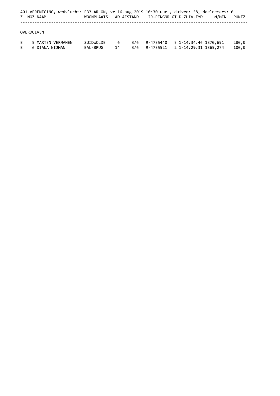|        | Z NOZ NAAM                          | WOONPLAATS            |         |     | AD AFSTAND    JR-RINGNR GT D-ZUIV-TYD                                           |  | A01-VERENIGING, wedvlucht: F33-ARLON, vr 16-aug-2019 10:30 uur , duiven: 58, deelnemers: 6<br>M/MIN | PUNTZ          |
|--------|-------------------------------------|-----------------------|---------|-----|---------------------------------------------------------------------------------|--|-----------------------------------------------------------------------------------------------------|----------------|
|        | OVERDUIVEN                          |                       |         |     |                                                                                 |  |                                                                                                     |                |
| B<br>B | 5 MARTEN VERMANEN<br>6 DIANA NIJMAN | ZUIDWOLDE<br>BALKBRUG | 6<br>14 | 3/6 | 9-4735440    5    1-14:34:46    1370,691<br>3/6 9-4735521 2 1-14:29:31 1365,274 |  |                                                                                                     | 280,0<br>100,0 |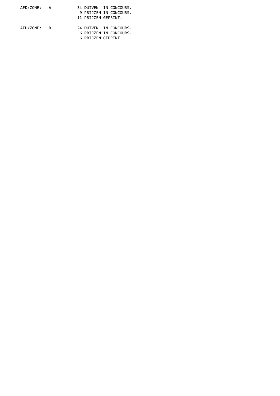| AFD/ZONE: A |  | 34 DUIVEN IN CONCOURS. |
|-------------|--|------------------------|
|             |  | 9 PRIJZEN IN CONCOURS. |
|             |  | 11 PRIJZEN GEPRINT.    |
| AFD/ZONE: B |  | 24 DUIVEN IN CONCOURS. |
|             |  | 6 PRIJZEN IN CONCOURS. |
|             |  | 6 PRIJZEN GEPRINT.     |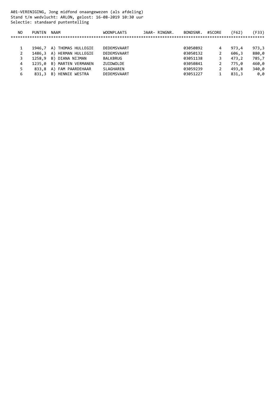A01-VERENIGING, Jong midfond onaangewezen (als afdeling) Stand t/m wedvlucht: ARLON, gelost: 16-08-2019 10:30 uur Selectie: standaard puntentelling

| NO | <b>PUNTEN</b> | NAAM                      | <b>WOONPLAATS</b> | JAAR- RINGNR. | BONDSNR. | #SCORE | (F62) | F33)  |
|----|---------------|---------------------------|-------------------|---------------|----------|--------|-------|-------|
|    |               |                           |                   |               |          |        |       |       |
|    |               |                           |                   |               |          |        |       |       |
|    |               | 1946,7 A) THOMAS HULLEGIE | DEDEMSVAART       |               | 03050892 | 4      | 973.4 | 973,3 |
|    |               | 1486,3 A) HERMAN HULLEGIE | DEDEMSVAART       |               | 03050132 |        | 606.3 | 880,0 |
|    | 1258.9        | B) DIANA NIJMAN           | BALKBRUG          |               | 03051138 |        | 473.2 | 785,7 |
| 4  | 1235.0        | B) MARTEN VERMANEN        | ZUIDWOLDE         |               | 03050841 |        | 775.0 | 460,0 |
|    | 833.8         | A) FAM PAARDEHAAR         | SLAGHAREN         |               | 03059239 |        | 493.8 | 340,0 |
| 6  | 831,3         | HENNIE WESTRA<br>B)       | DEDEMSVAART       |               | 03051227 |        | 831,3 | 0.0   |
|    |               |                           |                   |               |          |        |       |       |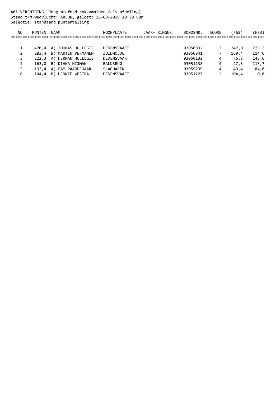A01-VERENIGING, Jong midfond hokkampioen (als afdeling) Stand t/m wedvlucht: ARLON, gelost: 16-08-2019 10:30 uur Selectie: standaard puntentelling

| NO. | <b>PUNTEN</b> | <b>NAAM</b>              | <b>WOONPLAATS</b> | JAAR- RINGNR. | BONDSNR. | #SCORE | (F62) | 'F33) |
|-----|---------------|--------------------------|-------------------|---------------|----------|--------|-------|-------|
|     |               |                          |                   |               |          |        |       |       |
|     |               |                          |                   |               |          |        |       |       |
|     |               | 470,4 A) THOMAS HULLEGIE | DEDEMSVAART       |               | 03050892 | 13     | 247.0 | 223,3 |
|     |               | 283,4 B) MARTEN VERMANEN | ZUIDWOLDE         |               | 03050841 |        | 169.4 | 114,0 |
|     |               | 222,3 A) HERMAN HULLEGIE | DEDEMSVAART       |               | 03050132 | 4      | 76.3  | 146,0 |
| 4   |               | 163,0 B) DIANA NIJMAN    | BALKBRUG          |               | 03051138 | 4      | 47.3  | 115,7 |
|     |               | 133,4 A) FAM PAARDEHAAR  | SLAGHAREN         |               | 03059239 | 4      | 49.4  | 84,0  |
| 6   | 104,4         | B) HENNIE WESTRA         | DEDEMSVAART       |               | 03051227 |        | 104.4 | 0.0   |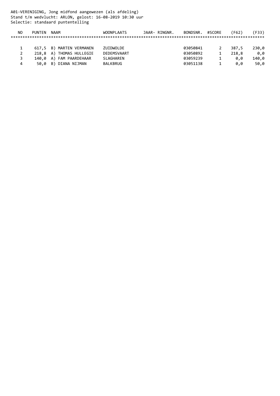A01-VERENIGING, Jong midfond aangewezen (als afdeling) Stand t/m wedvlucht: ARLON, gelost: 16-08-2019 10:30 uur Selectie: standaard puntentelling

| NO | PUNTFN | NAAM                     | <b>WOONPLAATS</b> | JAAR- RINGNR. | BONDSNR. #SCORE | (F62) | 'F33) |
|----|--------|--------------------------|-------------------|---------------|-----------------|-------|-------|
|    |        |                          |                   |               |                 |       |       |
|    |        |                          |                   |               |                 |       |       |
|    |        | 617,5 B) MARTEN VERMANEN | ZUIDWOLDE         |               | 03050841        | 387.5 | 230,0 |
|    |        | 218,8 A) THOMAS HULLEGIE | DEDEMSVAART       |               | 03050892        | 218.8 | 0.0   |
|    |        | 140,0 A) FAM PAARDEHAAR  | SLAGHAREN         |               | 03059239        | 0.0   | 140,0 |
| 4  |        | 50,0 B) DIANA NIJMAN     | BALKBRUG          |               | 03051138        | 0.0   | 50,0  |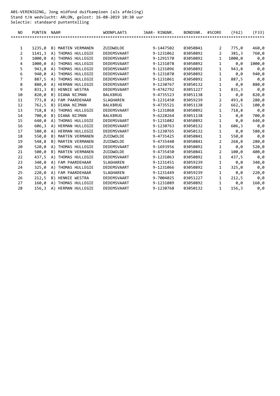A01-VERENIGING, Jong midfond duifkampioen (als afdeling) Stand t/m wedvlucht: ARLON, gelost: 16-08-2019 10:30 uur Selectie: standaard puntentelling

| NO. | <b>PUNTEN</b> | <b>NAAM</b>               | <b>WOONPLAATS</b> | JAAR- RINGNR. | BONDSNR. | #SCORE         | (F62)  | (F33)  |
|-----|---------------|---------------------------|-------------------|---------------|----------|----------------|--------|--------|
|     |               |                           |                   |               |          |                |        |        |
|     |               |                           |                   |               |          |                |        |        |
| 1   | 1235,0        | B) MARTEN VERMANEN        | ZUIDWOLDE         | 9-1447502     | 03050841 | $\overline{2}$ | 775,0  | 460,0  |
| 2   | 1141,3        | A) THOMAS HULLEGIE        | DEDEMSVAART       | 9-1231062     | 03050892 | $\overline{2}$ | 381,3  | 760,0  |
| 3   | 1000,0        | A) THOMAS HULLEGIE        | DEDEMSVAART       | 9-1291570     | 03050892 | $\mathbf{1}$   | 1000,0 | 0,0    |
| 4   | 1000,0        | A) THOMAS HULLEGIE        | DEDEMSVAART       | 9-1231078     | 03050892 | $\mathbf{1}$   | 0,0    | 1000,0 |
| 5   | 943,8         | A) THOMAS HULLEGIE        | DEDEMSVAART       | 9-1231096     | 03050892 | $\mathbf{1}$   | 943,8  | 0,0    |
| 6   | 940,0         | A) THOMAS HULLEGIE        | DEDEMSVAART       | 9-1231070     | 03050892 | $\mathbf{1}$   | 0, 0   | 940,0  |
| 7   | 887,5         | A) THOMAS HULLEGIE        | DEDEMSVAART       | 9-1231061     | 03050892 | $\mathbf{1}$   | 887,5  | 0,0    |
| 8   | 880,0         | A) HERMAN HULLEGIE        | DEDEMSVAART       | 9-1230767     | 03050132 | $\mathbf 1$    | 0,0    | 880,0  |
| 9   | 831,3         | B) HENNIE WESTRA          | DEDEMSVAART       | 9-4742792     | 03051227 | $\mathbf{1}$   | 831,3  | 0,0    |
| 10  | 820,0         | B) DIANA NIJMAN           | <b>BALKBRUG</b>   | 9-4735523     | 03051138 | $\mathbf{1}$   | 0,0    | 820,0  |
| 11  | 773,8         | A) FAM PAARDEHAAR         | SLAGHAREN         | 9-1231450     | 03059239 | $\overline{2}$ | 493,8  | 280,0  |
| 12  | 762,5         | B) DIANA NIJMAN           | <b>BALKBRUG</b>   | 9-4735521     | 03051138 | $\overline{2}$ | 662,5  | 100,0  |
| 13  | 718,8         | A) THOMAS HULLEGIE        | DEDEMSVAART       | 9-1231068     | 03050892 | $\mathbf{1}$   | 718,8  | 0,0    |
| 14  | 700,0         | B) DIANA NIJMAN           | BALKBRUG          | 9-6228264     | 03051138 | 1              | 0,0    | 700,0  |
| 15  | 640,0         | A) THOMAS HULLEGIE        | DEDEMSVAART       | 9-1231082     | 03050892 | $\mathbf{1}$   | 0,0    | 640,0  |
| 16  | 606,3         | A) HERMAN HULLEGIE        | DEDEMSVAART       | 9-1230763     | 03050132 | $\mathbf{1}$   | 606,3  | 0,0    |
| 17  | 580,0         | A) HERMAN HULLEGIE        | DEDEMSVAART       | 9-1230765     | 03050132 | $\mathbf 1$    | 0,0    | 580,0  |
| 18  | 550,0         | <b>B) MARTEN VERMANEN</b> | ZUIDWOLDE         | 9-4735425     | 03050841 | $\mathbf 1$    | 550,0  | 0,0    |
| 19  | 548,8         | B) MARTEN VERMANEN        | ZUIDWOLDE         | 9-4735440     | 03050841 | $\overline{2}$ | 268,8  | 280,0  |
| 20  | 520,0         | A) THOMAS HULLEGIE        | DEDEMSVAART       | 9-1693956     | 03050892 | $\mathbf 1$    | 0,0    | 520,0  |
| 21  | 500,0         | <b>B) MARTEN VERMANEN</b> | ZUIDWOLDE         | 9-4735450     | 03050841 | 2              | 100,0  | 400,0  |
| 22  | 437,5         | A) THOMAS HULLEGIE        | DEDEMSVAART       | 9-1231063     | 03050892 | $\mathbf{1}$   | 437,5  | 0,0    |
| 23  | 340,0         | A) FAM PAARDEHAAR         | SLAGHAREN         | 9-1231451     | 03059239 | 1              | 0,0    | 340,0  |
| 24  | 325,0         | A) THOMAS HULLEGIE        | DEDEMSVAART       | 9-1231066     | 03050892 | $\mathbf{1}$   | 325,0  | 0,0    |
| 25  | 220,0         | A) FAM PAARDEHAAR         | SLAGHAREN         | 9-1231449     | 03059239 | $\mathbf{1}$   | 0,0    | 220,0  |
| 26  | 212,5         | B) HENNIE WESTRA          | DEDEMSVAART       | 9-7004025     | 03051227 | $\mathbf{1}$   | 212,5  | 0,0    |
| 27  | 160,0         | A) THOMAS HULLEGIE        | DEDEMSVAART       | 9-1231089     | 03050892 | $\mathbf{1}$   | 0,0    | 160,0  |
| 28  | 156,3         | A) HERMAN HULLEGIE        | DEDEMSVAART       | 9-1230768     | 03050132 | 1              | 156,3  | 0,0    |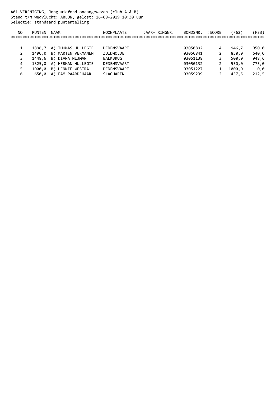A01-VERENIGING, Jong midfond onaangewezen (club A & B) Stand t/m wedvlucht: ARLON, gelost: 16-08-2019 10:30 uur Selectie: standaard puntentelling

| NO. | <b>PUNTEN</b> | <b>NAAM</b>               | <b>WOONPLAATS</b> | JAAR- RINGNR. | BONDSNR. | #SCORE | (F62)  | 'F33) |
|-----|---------------|---------------------------|-------------------|---------------|----------|--------|--------|-------|
|     |               |                           |                   |               |          |        |        |       |
|     |               |                           |                   |               |          |        |        |       |
|     | 1896.7        | A) THOMAS HULLEGIE        | DEDEMSVAART       |               | 03050892 | 4      | 946,7  | 950,0 |
|     | 1490.0        | B) MARTEN VERMANEN        | ZUIDWOLDE         |               | 03050841 |        | 850.0  | 640,0 |
|     | 1448,6        | B) DIANA NIJMAN           | BALKBRUG          |               | 03051138 | 3      | 500.0  | 948,6 |
|     |               | 1325,0 A) HERMAN HULLEGIE | DEDEMSVAART       |               | 03050132 | 2      | 550.0  | 775,0 |
|     | 1000.0        | B) HENNIE WESTRA          | DEDEMSVAART       |               | 03051227 |        | 1000.0 | 0.0   |
| 6   | 650,0         | A) FAM PAARDEHAAR         | SLAGHAREN         |               | 03059239 |        | 437.5  | 212,5 |
|     |               |                           |                   |               |          |        |        |       |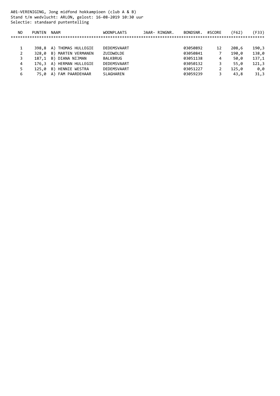A01-VERENIGING, Jong midfond hokkampioen (club A & B) Stand t/m wedvlucht: ARLON, gelost: 16-08-2019 10:30 uur Selectie: standaard puntentelling

| NO. | <b>PUNTEN</b> | NAAM                     | <b>WOONPLAATS</b> | JAAR- RINGNR. | BONDSNR. | #SCORE | (F62) | 'F33) |
|-----|---------------|--------------------------|-------------------|---------------|----------|--------|-------|-------|
|     |               |                          |                   |               |          |        |       |       |
|     |               |                          |                   |               |          |        |       |       |
|     | 398.8 A)      | THOMAS HULLEGIE          | DEDEMSVAART       |               | 03050892 | 12     | 208,6 | 190,3 |
| 2   | 328.0         | B) MARTEN VERMANEN       | ZUIDWOLDE         |               | 03050841 |        | 190.0 | 138,0 |
| 3   | 187.1         | B) DIANA NIJMAN          | BALKBRUG          |               | 03051138 | 4      | 50.0  | 137,1 |
| 4   |               | 176,3 A) HERMAN HULLEGIE | DEDEMSVAART       |               | 03050132 |        | 55.0  | 121,3 |
|     | 125.0         | B) HENNIE WESTRA         | DEDEMSVAART       |               | 03051227 |        | 125.0 | 0.0   |
| 6   | 75.0          | A) FAM PAARDEHAAR        | SLAGHAREN         |               | 03059239 | 3      | 43.8  | 31,3  |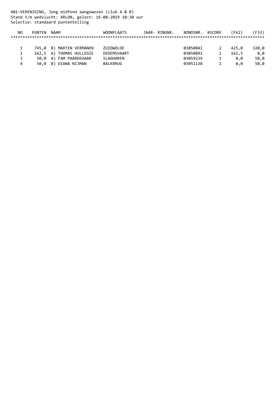A01-VERENIGING, Jong midfond aangewezen (club A & B) Stand t/m wedvlucht: ARLON, gelost: 16-08-2019 10:30 uur Selectie: standaard puntentelling

| NO | PUNTFN | NAAM                     | <b>WOONPLAATS</b> | JAAR- RINGNR. | BONDSNR. #SCORE | (F62) | 'F33) |
|----|--------|--------------------------|-------------------|---------------|-----------------|-------|-------|
|    |        |                          |                   |               |                 |       |       |
|    |        |                          |                   |               |                 |       |       |
|    |        | 745,0 B) MARTEN VERMANEN | ZUIDWOLDE         |               | 03050841        | 425.0 | 320,0 |
|    |        | 162,5 A) THOMAS HULLEGIE | DEDEMSVAART       |               | 03050892        | 162.5 | 0.0   |
|    |        | 50.0 A) FAM PAARDEHAAR   | SLAGHAREN         |               | 03059239        | 0.0   | 50,0  |
| 4  |        | 50,0 B) DIANA NIJMAN     | BALKBRUG          |               | 03051138        | 0.0   | 50,0  |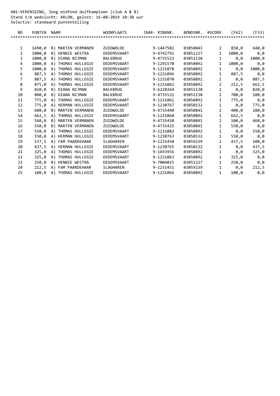A01-VERENIGING, Jong midfond duifkampioen (club A & B) Stand t/m wedvlucht: ARLON, gelost: 16-08-2019 10:30 uur Selectie: standaard puntentelling

| NO.            | <b>PUNTEN</b> | <b>NAAM</b>               | <b>WOONPLAATS</b> | JAAR- RINGNR. | BONDSNR. | #SCORE         | (F62)  | (F33)  |
|----------------|---------------|---------------------------|-------------------|---------------|----------|----------------|--------|--------|
|                |               |                           |                   |               |          |                |        |        |
|                |               |                           |                   |               |          |                |        |        |
| $\mathbf{1}$   | 1490,0        | B) MARTEN VERMANEN        | ZUIDWOLDE         | 9-1447502     | 03050841 | 2              | 850,0  | 640,0  |
| $\overline{2}$ | 1000,0        | B) HENNIE WESTRA          | DEDEMSVAART       | 9-4742792     | 03051227 | $\mathbf{1}$   | 1000,0 | 0,0    |
| 3              | 1000.0        | B) DIANA NIJMAN           | <b>BALKBRUG</b>   | 9-4735523     | 03051138 | $\mathbf{1}$   | 0.0    | 1000,0 |
| 4              | 1000,0        | A) THOMAS HULLEGIE        | DEDEMSVAART       | 9-1291570     | 03050892 | $\mathbf{1}$   | 1000,0 | 0,0    |
| 5              | 1000,0        | A) THOMAS HULLEGIE        | DEDEMSVAART       | 9-1231078     | 03050892 | $\mathbf{1}$   | 0,0    | 1000,0 |
| 6              | 887,5         | A) THOMAS HULLEGIE        | DEDEMSVAART       | 9-1231096     | 03050892 | $\mathbf{1}$   | 887,5  | 0,0    |
| 7              | 887,5         | A) THOMAS HULLEGIE        | DEDEMSVAART       | 9-1231070     | 03050892 | $\mathbf{1}$   | 0.0    | 887,5  |
| 8              | 875.0         | A) THOMAS HULLEGIE        | DEDEMSVAART       | 9-1231062     | 03050892 | 2              | 212,5  | 662,5  |
| 9              | 820,0         | B) DIANA NIJMAN           | <b>BALKBRUG</b>   | 9-6228264     | 03051138 | $\mathbf{1}$   | 0,0    | 820,0  |
| 10             | 800,0         | B) DIANA NIJMAN           | <b>BALKBRUG</b>   | 9-4735521     | 03051138 | $\overline{2}$ | 700,0  | 100,0  |
| 11             | 775,0         | A) THOMAS HULLEGIE        | DEDEMSVAART       | 9-1231061     | 03050892 | $\mathbf{1}$   | 775,0  | 0,0    |
| 12             | 775,0         | A) HERMAN HULLEGIE        | DEDEMSVAART       | 9-1230767     | 03050132 | $\mathbf{1}$   | 0, 0   | 775,0  |
| 13             | 680,0         | <b>B) MARTEN VERMANEN</b> | ZUIDWOLDE         | 9-4735440     | 03050841 | $\overline{2}$ | 400,0  | 280,0  |
| 14             | 662,5         | A) THOMAS HULLEGIE        | DEDEMSVAART       | 9-1231068     | 03050892 | $\mathbf{1}$   | 662,5  | 0,0    |
| 15             | 560,0         | <b>B) MARTEN VERMANEN</b> | ZUIDWOLDE         | 9-4735450     | 03050841 | $\overline{2}$ | 100,0  | 460,0  |
| 16             | 550,0         | <b>B) MARTEN VERMANEN</b> | ZUIDWOLDE         | 9-4735425     | 03050841 | $\mathbf{1}$   | 550,0  | 0,0    |
| 17             | 550,0         | A) THOMAS HULLEGIE        | DEDEMSVAART       | 9-1231082     | 03050892 | $\mathbf{1}$   | 0,0    | 550,0  |
| 18             | 550,0         | A) HERMAN HULLEGIE        | DEDEMSVAART       | 9-1230763     | 03050132 | $\mathbf{1}$   | 550,0  | 0,0    |
| 19             | 537,5         | A) FAM PAARDEHAAR         | <b>SLAGHAREN</b>  | 9-1231450     | 03059239 | 2              | 437,5  | 100,0  |
| 20             | 437,5         | A) HERMAN HULLEGIE        | DEDEMSVAART       | 9-1230765     | 03050132 | $\mathbf{1}$   | 0,0    | 437,5  |
| 21             | 325,0         | A) THOMAS HULLEGIE        | DEDEMSVAART       | 9-1693956     | 03050892 | $\mathbf{1}$   | 0,0    | 325,0  |
| 22             | 325,0         | A) THOMAS HULLEGIE        | DEDEMSVAART       | 9-1231063     | 03050892 | $\mathbf{1}$   | 325,0  | 0,0    |
| 23             | 250,0         | B) HENNIE WESTRA          | DEDEMSVAART       | 9-7004025     | 03051227 | $\mathbf{1}$   | 250,0  | 0,0    |
| 24             | 212,5         | A) FAM PAARDEHAAR         | <b>SLAGHAREN</b>  | 9-1231451     | 03059239 | 1              | 0,0    | 212,5  |
| 25             | 100,0         | A) THOMAS HULLEGIE        | DEDEMSVAART       | 9-1231066     | 03050892 | $\mathbf{1}$   | 100,0  | 0,0    |
|                |               |                           |                   |               |          |                |        |        |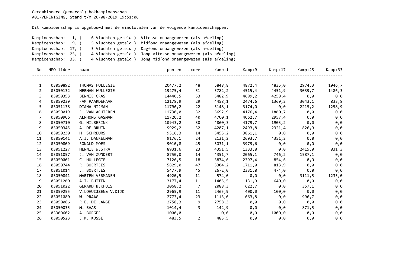|                  | Kampioenschap:<br>Kampioenschap:<br>Kampioenschap:<br>Kampioenschap:<br>Kampioenschap: | 6 Vluchten geteld)<br>1, (<br>9, (<br>5 Vluchten geteld)<br>5 Vluchten geteld)<br>17, (<br>4 Vluchten geteld)<br>25, (<br>4 Vluchten geteld)<br>33, ( | Vitesse onaangewezen (als afdeling)<br>Midfond onaangewezen (als afdeling)<br>Dagfond onaangewezen (als afdeling)<br>Jong vitesse onaangewezen (als afdeling)<br>Jong midfond onaangewezen (als afdeling) |                |        |        |         |         |         |
|------------------|----------------------------------------------------------------------------------------|-------------------------------------------------------------------------------------------------------------------------------------------------------|-----------------------------------------------------------------------------------------------------------------------------------------------------------------------------------------------------------|----------------|--------|--------|---------|---------|---------|
| No               | NPO-lidnr                                                                              | naam                                                                                                                                                  | punten                                                                                                                                                                                                    | score          | Kamp:1 | Kamp:9 | Kamp:17 | Kamp:25 | Kamp:33 |
| $\mathbf{1}$     | 03050892                                                                               | THOMAS HULLEGIE                                                                                                                                       | 20477,2                                                                                                                                                                                                   | 48             | 5848,8 | 4872,4 | 4835,0  | 2974,3  | 1946,7  |
| $\overline{2}$   | 03050132                                                                               | HERMAN HULLEGIE                                                                                                                                       | 19275,4                                                                                                                                                                                                   | 51             | 5782,2 | 4515,4 | 4451,9  | 3039,7  | 1486,3  |
| 3                | 03050353                                                                               | <b>BENNIE GRAS</b>                                                                                                                                    | 14440,5                                                                                                                                                                                                   | 53             | 5482,9 | 4699,2 | 4258,4  | 0,0     | 0,0     |
| 4                | 03059239                                                                               | FAM PAARDEHAAR                                                                                                                                        | 12178,9                                                                                                                                                                                                   | 29             | 4458,1 | 2474,6 | 1369,2  | 3043,1  | 833,8   |
| 5                | 03051138                                                                               | DIANA NIJMAN                                                                                                                                          | 11796,2                                                                                                                                                                                                   | 22             | 5148,1 | 3174,0 | 0,0     | 2215,2  | 1258,9  |
| $\boldsymbol{6}$ | 03050019                                                                               | J. VAN ACHTEREN                                                                                                                                       | 11730,0                                                                                                                                                                                                   | 32             | 5692,9 | 4176,4 | 1860,7  | 0,0     | 0,0     |
| $\overline{7}$   | 03050906                                                                               | ALPHONS GASMAN                                                                                                                                        | 11720,2                                                                                                                                                                                                   | 40             | 4700,1 | 4062,7 | 2957,4  | 0,0     | 0,0     |
| 8                | 03050710                                                                               | G. HILBERINK                                                                                                                                          | 10943,2                                                                                                                                                                                                   | 30             | 4860,3 | 4179,7 | 1903,2  | 0,0     | 0,0     |
| 9                | 03050345                                                                               | A. DE BRUIN                                                                                                                                           | 9929,2                                                                                                                                                                                                    | 32             | 4287,1 | 2493,8 | 2321,4  | 826,9   | 0,0     |
| 10               | 03050230                                                                               | H. SCHREURS                                                                                                                                           | 9316,3                                                                                                                                                                                                    | 14             | 5455,2 | 3861,1 | 0,0     | 0,0     | 0,0     |
| 11               | 03050141                                                                               | A.J. DANKELMAN                                                                                                                                        | 9176,1                                                                                                                                                                                                    | 24             | 2131,2 | 2693,7 | 4351,2  | 0,0     | 0,0     |
| 12               | 03050809                                                                               | RONALD MOES                                                                                                                                           | 9010,8                                                                                                                                                                                                    | 45             | 5031,1 | 3979,6 | 0,0     | 0,0     | 0,0     |
| 13               | 03051227                                                                               | HENNIE WESTRA                                                                                                                                         | 8931,6                                                                                                                                                                                                    | 23             | 4351,5 | 1333,8 | 0,0     | 2415,0  | 831,3   |
| 14               | 03051057                                                                               | J. VAN ZUNDERT                                                                                                                                        | 8750,0                                                                                                                                                                                                    | 14             | 4351,7 | 2065,1 | 746,2   | 1587,1  | 0,0     |
| 15               | 03050001                                                                               | C. HULLEGIE                                                                                                                                           | 7126,5                                                                                                                                                                                                    | 18             | 3874,6 | 2397,4 | 854,6   | 0,0     | 0,0     |
| 16               | 03050744                                                                               | R. BOERTJES                                                                                                                                           | 5829,0                                                                                                                                                                                                    | 47             | 3304,2 | 1711,0 | 813,9   | 0,0     | 0,0     |
| 17               | 03051014                                                                               | J. BOERTJES                                                                                                                                           | 5477,9                                                                                                                                                                                                    | 45             | 2672,0 | 2331,8 | 474,0   | 0,0     | 0,0     |
| 18               | 03050841                                                                               | MARTEN VERMANEN                                                                                                                                       | 4920,5                                                                                                                                                                                                    | 11             | 574,0  | 0,0    | 0,0     | 3111,5  | 1235,0  |
| 19               | 03051260                                                                               | A.J. BUITEN                                                                                                                                           | 3177,4                                                                                                                                                                                                    | 11             | 1405,5 | 1131,9 | 640,0   | 0,0     | 0,0     |
| 20               | 03051022                                                                               | <b>GERARD BEKHUIS</b>                                                                                                                                 | 3068,2                                                                                                                                                                                                    | $\overline{7}$ | 2088,3 | 622,7  | 0,0     | 357,1   | 0,0     |
| 21               | 03059255                                                                               | V.LOHUIJZEN& V.DIJK                                                                                                                                   | 2965,9                                                                                                                                                                                                    | 11             | 2465,9 | 400,0  | 100,0   | 0,0     | 0,0     |
| 22               | 03051080                                                                               | W. PRAAG                                                                                                                                              | 2773,4                                                                                                                                                                                                    | 23             | 1113,0 | 663,8  | 0,0     | 996,7   | 0,0     |
| 23               | 03050086                                                                               | R.E. DE LANGE                                                                                                                                         | 2758,3                                                                                                                                                                                                    | 9              | 2758,3 | 0,0    | 0,0     | 0,0     | 0,0     |
| 24               | 03050035                                                                               | M. BAAS                                                                                                                                               | 1014,4                                                                                                                                                                                                    | 3              | 142,9  | 0,0    | 0,0     | 871,5   | 0,0     |
| 25               | 03360602                                                                               | A. BORGER                                                                                                                                             | 1000,0                                                                                                                                                                                                    | $\mathbf{1}$   | 0,0    | 0,0    | 1000,0  | 0,0     | 0,0     |
| 26               | 03050523                                                                               | J.M. KOSSE                                                                                                                                            | 483,5                                                                                                                                                                                                     | $\overline{2}$ | 483,5  | 0,0    | 0,0     | 0,0     | 0,0     |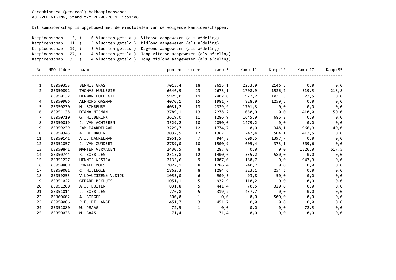| 6 Vluchten geteld )<br>Kampioenschap:<br>3, (<br>5 Vluchten geteld)<br>Kampioenschap: 11, (<br>Kampioenschap: 19, (<br>5 Vluchten geteld)<br>Kampioenschap: 27, (<br>4 Vluchten geteld) |           |                                        |                                        | Vitesse aangewezen (als afdeling) |        |         |                     |         |         |
|-----------------------------------------------------------------------------------------------------------------------------------------------------------------------------------------|-----------|----------------------------------------|----------------------------------------|-----------------------------------|--------|---------|---------------------|---------|---------|
|                                                                                                                                                                                         |           | Midfond aangewezen (als afdeling)      |                                        |                                   |        |         |                     |         |         |
|                                                                                                                                                                                         |           | Dagfond aangewezen (als afdeling)      |                                        |                                   |        |         |                     |         |         |
|                                                                                                                                                                                         |           | Jong vitesse aangewezen (als afdeling) |                                        |                                   |        |         |                     |         |         |
| 4 Vluchten geteld)<br>Kampioenschap: 35, (                                                                                                                                              |           |                                        | Jong midfond aangewezen (als afdeling) |                                   |        |         |                     |         |         |
| No.                                                                                                                                                                                     | NPO-lidnr | naam                                   | punten                                 | score                             | Kamp:3 | Kamp:11 | Kamp:19             | Kamp:27 | Kamp:35 |
| $\mathbf{1}$                                                                                                                                                                            | 03050353  | BENNIE GRAS                            | 7015,4                                 | 18                                | 2615,1 | 2253,9  | 2146,5              | 0,0     | 0,0     |
| 2                                                                                                                                                                                       | 03050892  | THOMAS HULLEGIE                        | 6646,9                                 | 23                                | 2673,1 | 1708,9  | 1526,7              | 519,5   | 218,8   |
| 3                                                                                                                                                                                       | 03050132  | HERMAN HULLEGIE                        | 5929,0                                 | 19                                | 2402,0 | 1922,2  | 1031,3              | 573,5   | 0,0     |
| 4                                                                                                                                                                                       | 03050906  | ALPHONS GASMAN                         | 4070,1                                 | 15                                | 1981,7 | 828,9   | 1259,5              | 0,0     | 0,0     |
| 5.                                                                                                                                                                                      | 03050230  | H. SCHREURS                            | 4031,2                                 | 13                                | 2329,9 | 1701,3  | 0,0                 | 0,0     | 0,0     |
| 6                                                                                                                                                                                       | 03051138  | DIANA NIJMAN                           | 3789,1                                 | 13                                | 2278,2 | 1050,9  | $\theta$ , $\theta$ | 410,0   | 50,0    |
| 7                                                                                                                                                                                       | 03050710  | G. HILBERINK                           | 3619,0                                 | 11                                | 1286,9 | 1645,9  | 686,2               | 0,0     | 0,0     |
| 8                                                                                                                                                                                       | 03050019  | J. VAN ACHTEREN                        | 3529,2                                 | 10                                | 2050,0 | 1479,2  | 0,0                 | 0,0     | 0,0     |
| 9                                                                                                                                                                                       | 03059239  | FAM PAARDEHAAR                         | 3229,7                                 | 12                                | 1774,7 | 0,0     | 348,1               | 966,9   | 140,0   |
| 10                                                                                                                                                                                      | 03050345  | A. DE BRUIN                            | 3032,5                                 | 17                                | 1367,5 | 747,4   | 504,1               | 413,5   | 0,0     |
| 11                                                                                                                                                                                      | 03050141  | A.J. DANKELMAN                         | 2951,5                                 | $\overline{7}$                    | 944,3  | 609,5   | 1397,7              | 0,0     | 0,0     |
| 12                                                                                                                                                                                      | 03051057  | J. VAN ZUNDERT                         | 2789,0                                 | 10                                | 1500,9 | 605,4   | 373,1               | 309,6   | 0,0     |
| 13                                                                                                                                                                                      | 03050841  | MARTEN VERMANEN                        | 2430,5                                 | - 8                               | 287,0  | 0,0     | 0,0                 | 1526,0  | 617,5   |
| 14                                                                                                                                                                                      | 03050744  | R. BOERTJES                            | 2315,8                                 | 12                                | 1400,6 | 335,2   | 580,0               | 0,0     | 0,0     |
| 15                                                                                                                                                                                      | 03051227  | HENNIE WESTRA                          | 2135,6                                 | 9                                 | 1007,0 | 180,7   | 0,0                 | 947,9   | 0,0     |
| 16                                                                                                                                                                                      | 03050809  | RONALD MOES                            | 2027,1                                 | 8                                 | 1286,4 | 740,7   | 0,0                 | 0,0     | 0,0     |
| 17                                                                                                                                                                                      | 03050001  | C. HULLEGIE                            | 1862,3                                 | 8                                 | 1284,6 | 323,1   | 254,6               | 0,0     | 0,0     |
| 18                                                                                                                                                                                      | 03059255  | V.LOHUIJZEN& V.DIJK                    | 1053,0                                 | 6                                 | 909,3  | 93,8    | 50,0                | 0,0     | 0,0     |
| 19                                                                                                                                                                                      | 03051022  | <b>GERARD BEKHUIS</b>                  | 1051,1                                 | 5                                 | 932,9  | 118,2   | 0,0                 | 0,0     | 0,0     |
| 20                                                                                                                                                                                      | 03051260  | A.J. BUITEN                            | 831,8                                  | 5                                 | 441,4  | 70,5    | 320,0               | 0,0     | 0,0     |
| 21                                                                                                                                                                                      | 03051014  | J. BOERTJES                            | 776,8                                  | 5                                 | 319,2  | 457,7   | 0,0                 | 0,0     | 0,0     |
| 22                                                                                                                                                                                      | 03360602  | A. BORGER                              | 500,0                                  | $\mathbf{1}$                      | 0,0    | 0,0     | 500,0               | 0,0     | 0,0     |
| 23                                                                                                                                                                                      | 03050086  | R.E. DE LANGE                          | 451,7                                  | 3                                 | 451,7  | 0,0     | 0,0                 | 0,0     | 0,0     |
| 24                                                                                                                                                                                      | 03051080  | W. PRAAG                               | 72,5                                   | 1                                 | 0,0    | 0,0     | 0,0                 | 72,5    | 0,0     |
| 25                                                                                                                                                                                      | 03050035  | M. BAAS                                | 71,4                                   | $\mathbf{1}$                      | 71,4   | 0,0     | 0,0                 | 0,0     | 0,0     |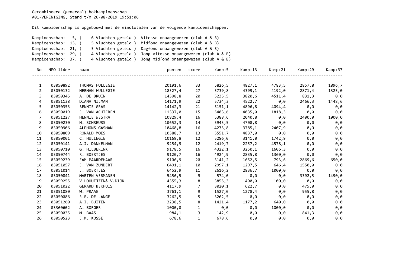|                                                                                                                                   | Kampioenschap:<br>Kampioenschap: 13, ( | 5, (<br>5 Vluchten geteld) | 6 Vluchten geteld ) Vitesse onaangewezen (club A & B)<br>Midfond onaangewezen (club A & B) |                |        |         |                     |         |         |  |  |
|-----------------------------------------------------------------------------------------------------------------------------------|----------------------------------------|----------------------------|--------------------------------------------------------------------------------------------|----------------|--------|---------|---------------------|---------|---------|--|--|
| 5 Vluchten geteld )<br>Kampioenschap: 21, (<br>4 Vluchten geteld ) Jong vitesse onaangewezen (club A & B)<br>Kampioenschap: 29, ( |                                        |                            | Dagfond onaangewezen (club A & B)                                                          |                |        |         |                     |         |         |  |  |
|                                                                                                                                   |                                        |                            |                                                                                            |                |        |         |                     |         |         |  |  |
|                                                                                                                                   | Kampioenschap: 37, (                   |                            | 4 Vluchten geteld ) Jong midfond onaangewezen (club A & B)                                 |                |        |         |                     |         |         |  |  |
| No.                                                                                                                               | NPO-lidnr                              | naam                       | punten                                                                                     | score          | Kamp:5 | Kamp:13 | Kamp:21             | Kamp:29 | Kamp:37 |  |  |
| $\mathbf{1}$                                                                                                                      | 03050892                               | THOMAS HULLEGIE            | 20191,6                                                                                    | 33             | 5826,5 | 4827,1  | 4783,5              | 2857,8  | 1896,7  |  |  |
| 2                                                                                                                                 | 03050132                               | HERMAN HULLEGIE            | 18527,4                                                                                    | 27             | 5739,8 | 4399,1  | 4192,0              | 2871,4  | 1325,0  |  |  |
| 3                                                                                                                                 | 03050345                               | A. DE BRUIN                | 14398,8                                                                                    | 20             | 5235,5 | 3820,6  | 4511,4              | 831,3   | 0,0     |  |  |
| 4                                                                                                                                 | 03051138                               | DIANA NIJMAN               | 14171,9                                                                                    | 22             | 5734,3 | 4522,7  | $\theta, \theta$    | 2466,3  | 1448,6  |  |  |
| 5                                                                                                                                 | 03050353                               | BENNIE GRAS                | 14142,3                                                                                    | 21             | 5151,1 | 4896,8  | 4094,4              | 0,0     | 0,0     |  |  |
| 6                                                                                                                                 | 03050019                               | J. VAN ACHTEREN            | 11337,0                                                                                    | 15             | 5483,6 | 4035,0  | 1818,3              | 0,0     | 0,0     |  |  |
| 7                                                                                                                                 | 03051227                               | HENNIE WESTRA              | 10829,4                                                                                    | 16             | 5388,6 | 2040,8  | 0,0                 | 2400,0  | 1000,0  |  |  |
| 8                                                                                                                                 | 03050230                               | H. SCHREURS                | 10652,3                                                                                    | 14             | 5943,5 | 4708,8  | 0,0                 | 0,0     | 0,0     |  |  |
| 9                                                                                                                                 | 03050906                               | ALPHONS GASMAN             | 10468,8                                                                                    | 16             | 4275,8 | 3785,1  | 2407,9              | 0,0     | 0,0     |  |  |
| 10                                                                                                                                | 03050809                               | RONALD MOES                | 10388,7                                                                                    | 13             | 5551,7 | 4837,0  | $\theta$ , $\theta$ | 0,0     | 0,0     |  |  |
| 11                                                                                                                                | 03050001                               | C. HULLEGIE                | 10169,8                                                                                    | 12             | 5286,0 | 3141,0  | 1742,9              | 0,0     | 0,0     |  |  |
| 12                                                                                                                                | 03050141                               | A.J. DANKELMAN             | 9254,9                                                                                     | 12             | 2419,7 | 2257,2  | 4578,1              | 0,0     | 0,0     |  |  |
| 13                                                                                                                                | 03050710                               | G. HILBERINK               | 9178,5                                                                                     | 16             | 4322,1 | 3250,1  | 1606,3              | 0,0     | 0,0     |  |  |
| 14                                                                                                                                | 03050744                               | R. BOERTJES                | 9120,7                                                                                     | 16             | 4924,9 | 2835,8  | 1360,0              | 0,0     | 0,0     |  |  |
| 15                                                                                                                                | 03059239                               | FAM PAARDEHAAR             | 9106,9                                                                                     | 20             | 3141,2 | 1652,5  | 793,6               | 2869,6  | 650,0   |  |  |
| 16                                                                                                                                | 03051057                               | J. VAN ZUNDERT             | 6491,1                                                                                     | 10             | 2997,1 | 1297,5  | 646,4               | 1550,0  | 0,0     |  |  |
| 17                                                                                                                                | 03051014                               | J. BOERTJES                | 6452,9                                                                                     | 11             | 2616,2 | 2836,7  | 1000,0              | 0,0     | 0,0     |  |  |
| 18                                                                                                                                | 03050841                               | MARTEN VERMANEN            | 5456,5                                                                                     | 9              | 574,0  | 0,0     | 0,0                 | 3392,5  | 1490,0  |  |  |
| 19                                                                                                                                | 03059255                               | V.LOHUIJZEN& V.DIJK        | 4355,3                                                                                     | 8              | 3855,3 | 400,0   | 100,0               | 0,0     | 0,0     |  |  |
| 20                                                                                                                                | 03051022                               | <b>GERARD BEKHUIS</b>      | 4117,9                                                                                     | $\overline{7}$ | 3020,1 | 622,7   | 0,0                 | 475,0   | 0,0     |  |  |
| 21                                                                                                                                | 03051080                               | W. PRAAG                   | 3761,1                                                                                     | 9              | 1527,0 | 1278,4  | 0,0                 | 955,8   | 0,0     |  |  |
| 22                                                                                                                                | 03050086                               | R.E. DE LANGE              | 3262,5                                                                                     | 5              | 3262,5 | 0,0     | $\theta$ , $\theta$ | 0,0     | 0,0     |  |  |
| 23                                                                                                                                | 03051260                               | A.J. BUITEN                | 3238,5                                                                                     | 8              | 1421,4 |         | $1177,2$ 640,0      | 0,0     | 0,0     |  |  |
| 24                                                                                                                                | 03360602                               | A. BORGER                  | 1000,0                                                                                     | 1              | 0,0    | 0,0     | 1000,0              | 0,0     | 0,0     |  |  |
| 25                                                                                                                                | 03050035                               | M. BAAS                    | 984,1                                                                                      | 3              | 142,9  | 0,0     | 0,0                 | 841,3   | 0,0     |  |  |
| 26                                                                                                                                | 03050523                               | J.M. KOSSE                 | 678,6                                                                                      | $\mathbf{1}$   | 678,6  | 0, 0    | 0, 0                | 0,0     | 0,0     |  |  |
|                                                                                                                                   |                                        |                            |                                                                                            |                |        |         |                     |         |         |  |  |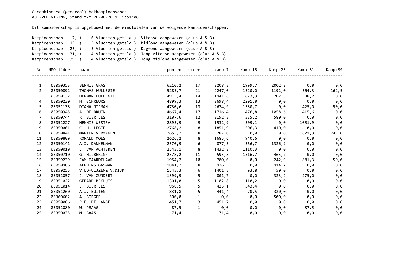| Kampioenschap: 7, (  |                    | 6 Vluchten geteld ) Vitesse aangewezen (club A & B)     |
|----------------------|--------------------|---------------------------------------------------------|
| Kampioenschap: 15, ( |                    | 5 Vluchten geteld) Midfond aangewezen (club A & B)      |
| Kampioenschap: 23, ( | 5 Vluchten geteld  | ) Dagfond aangewezen (club A & B)                       |
| Kampioenschap: 31, ( | 4 Vluchten geteld) | Jong vitesse aangewezen (club A & B)                    |
| Kampioenschap: 39, ( |                    | 4 Vluchten geteld) Jong midfond aangewezen (club A & B) |

| No             | NPO-lidnr | naam                  | punten | score        | Kamp:7 | Kamp:15      | Kamp:23 | Kamp:31 | Kamp:39 |
|----------------|-----------|-----------------------|--------|--------------|--------|--------------|---------|---------|---------|
|                |           |                       |        |              |        |              |         |         |         |
| 1              | 03050353  | BENNIE GRAS           | 6210,2 | 17           | 2208,3 | 1999,7       | 2002,2  | 0,0     | 0,0     |
| $\overline{2}$ | 03050892  | THOMAS HULLEGIE       | 5285,7 | 21           | 2247,0 | 1320,0       | 1192,0  | 364,3   | 162,5   |
| 3              | 03050132  | HERMAN HULLEGIE       | 4915,4 | 14           | 1941,6 | 1673,3       | 702,3   | 598,2   | 0,0     |
| 4              | 03050230  | H. SCHREURS           | 4899,3 | 13           | 2698,4 | 2201,0       | 0,0     | 0,0     | 0,0     |
| 5              | 03051138  | DIANA NIJMAN          | 4730,6 | 13           | 2674,9 | 1580,7       | 0,0     | 425,0   | 50,0    |
| 6              | 03050345  | A. DE BRUIN           | 4667,4 | 17           | 1716,4 | 1476,8       | 1058,6  | 415,6   | 0,0     |
| 7              | 03050744  | R. BOERTJES           | 3107,6 | 12           | 2192,3 | 335,2        | 580,0   | 0,0     | 0,0     |
| 8              | 03051227  | HENNIE WESTRA         | 2893,9 | 9            | 1532,9 | 309,1        | 0,0     | 1051,9  | 0,0     |
| 9              | 03050001  | C. HULLEGIE           | 2768,2 | 8            | 1851,9 | 506,3        | 410,0   | 0,0     | 0,0     |
| 10             | 03050841  | MARTEN VERMANEN       | 2653,2 | 8            | 287,0  | $\theta$ , 0 | 0,0     | 1621,3  | 745,0   |
| 11             | 03050809  | RONALD MOES           | 2626,2 | 8            | 1685,6 | 940,6        | 0,0     | 0,0     | 0,0     |
| 12             | 03050141  | A.J. DANKELMAN        | 2570,9 | 6            | 877,3  | 366,7        | 1326,9  | 0,0     | 0,0     |
| 13             | 03050019  | J. VAN ACHTEREN       | 2543,1 | 8            | 1432,8 | 1110,3       | 0,0     | 0,0     | 0,0     |
| 14             | 03050710  | G. HILBERINK          | 2378,2 | 11           | 595,8  | 1316,7       | 465,7   | 0,0     | 0,0     |
| 15             | 03059239  | FAM PAARDEHAAR        | 1954,2 | 10           | 780,0  | 0,0          | 242,9   | 881,3   | 50,0    |
| 16             | 03050906  | ALPHONS GASMAN        | 1841,2 | 8            | 926,5  | 0,0          | 914,7   | 0,0     | 0,0     |
| 17             | 03059255  | V.LOHUIJZEN& V.DIJK   | 1545,3 | 6            | 1401,5 | 93,8         | 50,0    | 0,0     | 0,0     |
| 18             | 03051057  | J. VAN ZUNDERT        | 1399,9 | 5            | 801,7  | 0,0          | 323,2   | 275,0   | 0,0     |
| 19             | 03051022  | <b>GERARD BEKHUIS</b> | 1301,0 | 5            | 1182,8 | 118,2        | 0,0     | 0,0     | 0,0     |
| 20             | 03051014  | J. BOERTJES           | 968,5  | 5            | 425,1  | 543,4        | 0,0     | 0,0     | 0,0     |
| 21             | 03051260  | A.J. BUITEN           | 831,8  | 5            | 441,4  | 70,5         | 320,0   | 0,0     | 0,0     |
| 22             | 03360602  | A. BORGER             | 500,0  |              | 0,0    | 0,0          | 500,0   | 0,0     | 0,0     |
| 23             | 03050086  | R.E. DE LANGE         | 451,7  | 3            | 451,7  | 0,0          | 0,0     | 0,0     | 0,0     |
| 24             | 03051080  | W. PRAAG              | 87,5   | $\mathbf{1}$ | 0,0    | 0,0          | 0,0     | 87,5    | 0,0     |
| 25             | 03050035  | M. BAAS               | 71,4   | 1            | 71,4   | 0,0          | 0,0     | 0,0     | 0,0     |